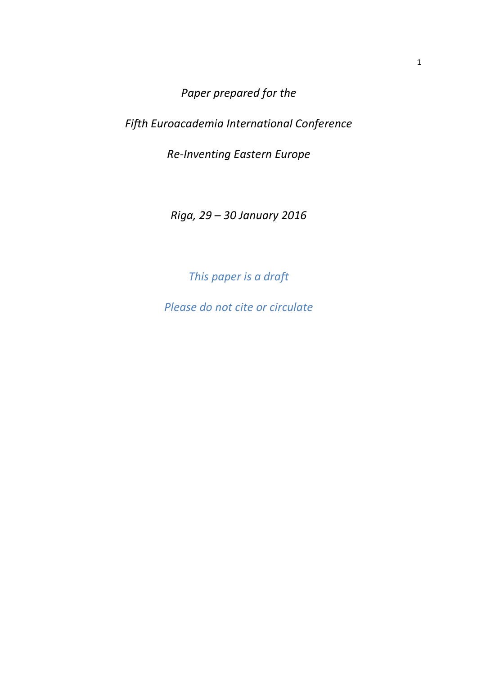*Paper prepared for the* 

*Fifth Euroacademia International Conference* 

*Re-Inventing Eastern Europe* 

*Riga, 29 – 30 January 2016* 

*This paper is a draft* 

*Please do not cite or circulate*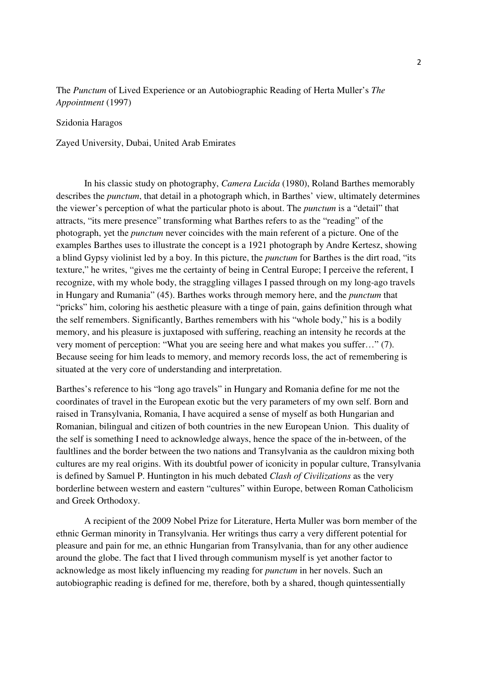## The *Punctum* of Lived Experience or an Autobiographic Reading of Herta Muller's *The Appointment* (1997)

## Szidonia Haragos

Zayed University, Dubai, United Arab Emirates

In his classic study on photography, *Camera Lucida* (1980), Roland Barthes memorably describes the *punctum*, that detail in a photograph which, in Barthes' view, ultimately determines the viewer's perception of what the particular photo is about. The *punctum* is a "detail" that attracts, "its mere presence" transforming what Barthes refers to as the "reading" of the photograph, yet the *punctum* never coincides with the main referent of a picture. One of the examples Barthes uses to illustrate the concept is a 1921 photograph by Andre Kertesz, showing a blind Gypsy violinist led by a boy. In this picture, the *punctum* for Barthes is the dirt road, "its texture," he writes, "gives me the certainty of being in Central Europe; I perceive the referent, I recognize, with my whole body, the straggling villages I passed through on my long-ago travels in Hungary and Rumania" (45). Barthes works through memory here, and the *punctum* that "pricks" him, coloring his aesthetic pleasure with a tinge of pain, gains definition through what the self remembers. Significantly, Barthes remembers with his "whole body," his is a bodily memory, and his pleasure is juxtaposed with suffering, reaching an intensity he records at the very moment of perception: "What you are seeing here and what makes you suffer…" (7). Because seeing for him leads to memory, and memory records loss, the act of remembering is situated at the very core of understanding and interpretation.

Barthes's reference to his "long ago travels" in Hungary and Romania define for me not the coordinates of travel in the European exotic but the very parameters of my own self. Born and raised in Transylvania, Romania, I have acquired a sense of myself as both Hungarian and Romanian, bilingual and citizen of both countries in the new European Union. This duality of the self is something I need to acknowledge always, hence the space of the in-between, of the faultlines and the border between the two nations and Transylvania as the cauldron mixing both cultures are my real origins. With its doubtful power of iconicity in popular culture, Transylvania is defined by Samuel P. Huntington in his much debated *Clash of Civilizations* as the very borderline between western and eastern "cultures" within Europe, between Roman Catholicism and Greek Orthodoxy.

A recipient of the 2009 Nobel Prize for Literature, Herta Muller was born member of the ethnic German minority in Transylvania. Her writings thus carry a very different potential for pleasure and pain for me, an ethnic Hungarian from Transylvania, than for any other audience around the globe. The fact that I lived through communism myself is yet another factor to acknowledge as most likely influencing my reading for *punctum* in her novels. Such an autobiographic reading is defined for me, therefore, both by a shared, though quintessentially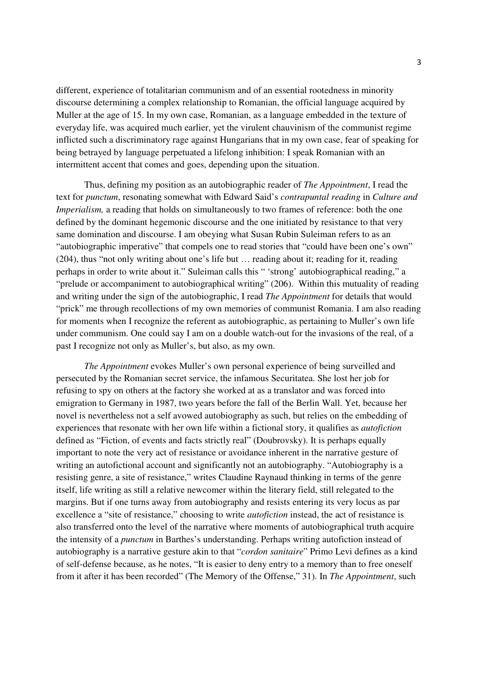different, experience of totalitarian communism and of an essential rootedness in minority discourse determining a complex relationship to Romanian, the official language acquired by Muller at the age of 15. In my own case, Romanian, as a language embedded in the texture of everyday life, was acquired much earlier, yet the virulent chauvinism of the communist regime inflicted such a discriminatory rage against Hungarians that in my own case, fear of speaking for being betrayed by language perpetuated a lifelong inhibition: I speak Romanian with an intermittent accent that comes and goes, depending upon the situation.

Thus, defining my position as an autobiographic reader of *The Appointment*, I read the text for *punctum*, resonating somewhat with Edward Said's *contrapuntal reading* in *Culture and Imperialism*, a reading that holds on simultaneously to two frames of reference: both the one defined by the dominant hegemonic discourse and the one initiated by resistance to that very same domination and discourse. I am obeying what Susan Rubin Suleiman refers to as an "autobiographic imperative" that compels one to read stories that "could have been one's own" (204), thus "not only writing about one's life but … reading about it; reading for it, reading perhaps in order to write about it." Suleiman calls this " 'strong' autobiographical reading," a "prelude or accompaniment to autobiographical writing" (206). Within this mutuality of reading and writing under the sign of the autobiographic, I read *The Appointment* for details that would "prick" me through recollections of my own memories of communist Romania. I am also reading for moments when I recognize the referent as autobiographic, as pertaining to Muller's own life under communism. One could say I am on a double watch-out for the invasions of the real, of a past I recognize not only as Muller's, but also, as my own.

*The Appointment* evokes Muller's own personal experience of being surveilled and persecuted by the Romanian secret service, the infamous Securitatea. She lost her job for refusing to spy on others at the factory she worked at as a translator and was forced into emigration to Germany in 1987, two years before the fall of the Berlin Wall. Yet, because her novel is nevertheless not a self avowed autobiography as such, but relies on the embedding of experiences that resonate with her own life within a fictional story, it qualifies as *autofiction* defined as "Fiction, of events and facts strictly real" (Doubrovsky). It is perhaps equally important to note the very act of resistance or avoidance inherent in the narrative gesture of writing an autofictional account and significantly not an autobiography. "Autobiography is a resisting genre, a site of resistance," writes Claudine Raynaud thinking in terms of the genre itself, life writing as still a relative newcomer within the literary field, still relegated to the margins. But if one turns away from autobiography and resists entering its very locus as par excellence a "site of resistance," choosing to write *autofiction* instead, the act of resistance is also transferred onto the level of the narrative where moments of autobiographical truth acquire the intensity of a *punctum* in Barthes's understanding. Perhaps writing autofiction instead of autobiography is a narrative gesture akin to that "*cordon sanitaire*" Primo Levi defines as a kind of self-defense because, as he notes, "It is easier to deny entry to a memory than to free oneself from it after it has been recorded" (The Memory of the Offense," 31). In *The Appointment*, such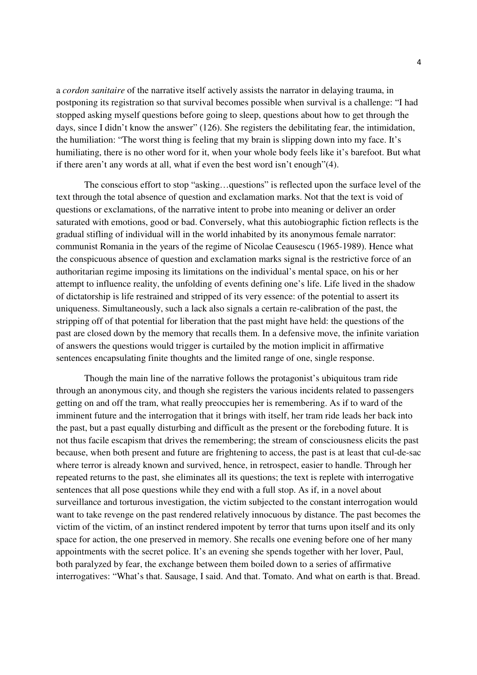a *cordon sanitaire* of the narrative itself actively assists the narrator in delaying trauma, in postponing its registration so that survival becomes possible when survival is a challenge: "I had stopped asking myself questions before going to sleep, questions about how to get through the days, since I didn't know the answer" (126). She registers the debilitating fear, the intimidation, the humiliation: "The worst thing is feeling that my brain is slipping down into my face. It's humiliating, there is no other word for it, when your whole body feels like it's barefoot. But what if there aren't any words at all, what if even the best word isn't enough"(4).

The conscious effort to stop "asking…questions" is reflected upon the surface level of the text through the total absence of question and exclamation marks. Not that the text is void of questions or exclamations, of the narrative intent to probe into meaning or deliver an order saturated with emotions, good or bad. Conversely, what this autobiographic fiction reflects is the gradual stifling of individual will in the world inhabited by its anonymous female narrator: communist Romania in the years of the regime of Nicolae Ceausescu (1965-1989). Hence what the conspicuous absence of question and exclamation marks signal is the restrictive force of an authoritarian regime imposing its limitations on the individual's mental space, on his or her attempt to influence reality, the unfolding of events defining one's life. Life lived in the shadow of dictatorship is life restrained and stripped of its very essence: of the potential to assert its uniqueness. Simultaneously, such a lack also signals a certain re-calibration of the past, the stripping off of that potential for liberation that the past might have held: the questions of the past are closed down by the memory that recalls them. In a defensive move, the infinite variation of answers the questions would trigger is curtailed by the motion implicit in affirmative sentences encapsulating finite thoughts and the limited range of one, single response.

 Though the main line of the narrative follows the protagonist's ubiquitous tram ride through an anonymous city, and though she registers the various incidents related to passengers getting on and off the tram, what really preoccupies her is remembering. As if to ward of the imminent future and the interrogation that it brings with itself, her tram ride leads her back into the past, but a past equally disturbing and difficult as the present or the foreboding future. It is not thus facile escapism that drives the remembering; the stream of consciousness elicits the past because, when both present and future are frightening to access, the past is at least that cul-de-sac where terror is already known and survived, hence, in retrospect, easier to handle. Through her repeated returns to the past, she eliminates all its questions; the text is replete with interrogative sentences that all pose questions while they end with a full stop. As if, in a novel about surveillance and torturous investigation, the victim subjected to the constant interrogation would want to take revenge on the past rendered relatively innocuous by distance. The past becomes the victim of the victim, of an instinct rendered impotent by terror that turns upon itself and its only space for action, the one preserved in memory. She recalls one evening before one of her many appointments with the secret police. It's an evening she spends together with her lover, Paul, both paralyzed by fear, the exchange between them boiled down to a series of affirmative interrogatives: "What's that. Sausage, I said. And that. Tomato. And what on earth is that. Bread.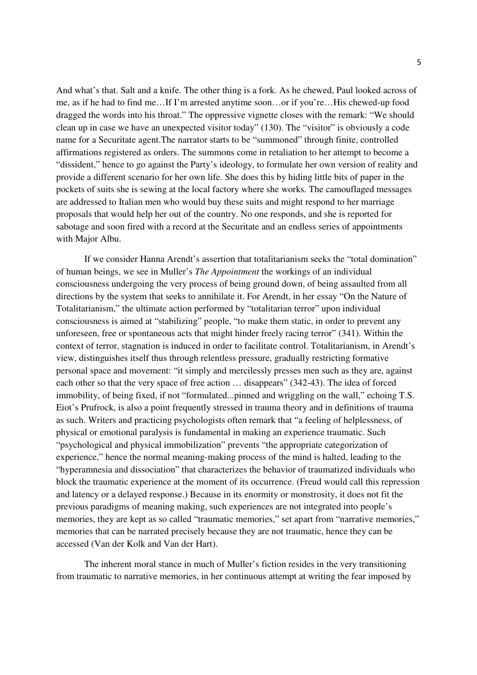And what's that. Salt and a knife. The other thing is a fork. As he chewed, Paul looked across of me, as if he had to find me…If I'm arrested anytime soon…or if you're…His chewed-up food dragged the words into his throat." The oppressive vignette closes with the remark: "We should clean up in case we have an unexpected visitor today" (130). The "visitor" is obviously a code name for a Securitate agent.The narrator starts to be "summoned" through finite, controlled affirmations registered as orders. The summons come in retaliation to her attempt to become a "dissident," hence to go against the Party's ideology, to formulate her own version of reality and provide a different scenario for her own life. She does this by hiding little bits of paper in the pockets of suits she is sewing at the local factory where she works. The camouflaged messages are addressed to Italian men who would buy these suits and might respond to her marriage proposals that would help her out of the country. No one responds, and she is reported for sabotage and soon fired with a record at the Securitate and an endless series of appointments with Major Albu.

If we consider Hanna Arendt's assertion that totalitarianism seeks the "total domination" of human beings, we see in Muller's *The Appointment* the workings of an individual consciousness undergoing the very process of being ground down, of being assaulted from all directions by the system that seeks to annihilate it. For Arendt, in her essay "On the Nature of Totalitarianism," the ultimate action performed by "totalitarian terror" upon individual consciousness is aimed at "stabilizing" people, "to make them static, in order to prevent any unforeseen, free or spontaneous acts that might hinder freely racing terror" (341). Within the context of terror, stagnation is induced in order to facilitate control. Totalitarianism, in Arendt's view, distinguishes itself thus through relentless pressure, gradually restricting formative personal space and movement: "it simply and mercilessly presses men such as they are, against each other so that the very space of free action … disappears" (342-43). The idea of forced immobility, of being fixed, if not "formulated...pinned and wriggling on the wall," echoing T.S. Eiot's Prufrock, is also a point frequently stressed in trauma theory and in definitions of trauma as such. Writers and practicing psychologists often remark that "a feeling of helplessness, of physical or emotional paralysis is fundamental in making an experience traumatic. Such "psychological and physical immobilization" prevents "the appropriate categorization of experience," hence the normal meaning-making process of the mind is halted, leading to the "hyperamnesia and dissociation" that characterizes the behavior of traumatized individuals who block the traumatic experience at the moment of its occurrence. (Freud would call this repression and latency or a delayed response.) Because in its enormity or monstrosity, it does not fit the previous paradigms of meaning making, such experiences are not integrated into people's memories, they are kept as so called "traumatic memories," set apart from "narrative memories," memories that can be narrated precisely because they are not traumatic, hence they can be accessed (Van der Kolk and Van der Hart).

The inherent moral stance in much of Muller's fiction resides in the very transitioning from traumatic to narrative memories, in her continuous attempt at writing the fear imposed by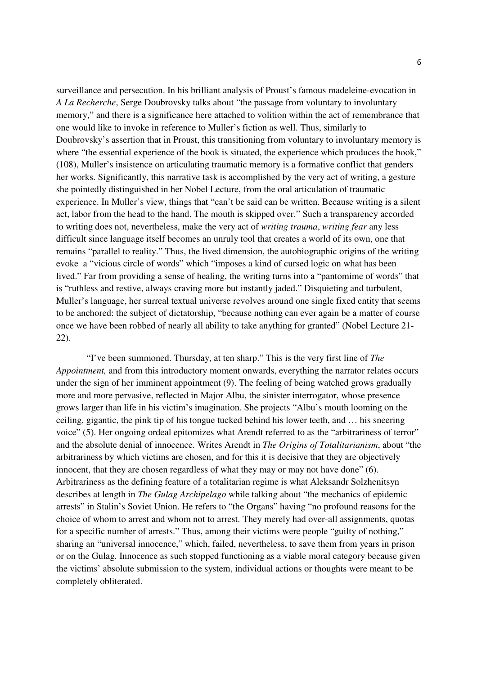surveillance and persecution. In his brilliant analysis of Proust's famous madeleine-evocation in *A La Recherche*, Serge Doubrovsky talks about "the passage from voluntary to involuntary memory," and there is a significance here attached to volition within the act of remembrance that one would like to invoke in reference to Muller's fiction as well. Thus, similarly to Doubrovsky's assertion that in Proust, this transitioning from voluntary to involuntary memory is where "the essential experience of the book is situated, the experience which produces the book," (108), Muller's insistence on articulating traumatic memory is a formative conflict that genders her works. Significantly, this narrative task is accomplished by the very act of writing, a gesture she pointedly distinguished in her Nobel Lecture, from the oral articulation of traumatic experience. In Muller's view, things that "can't be said can be written. Because writing is a silent act, labor from the head to the hand. The mouth is skipped over." Such a transparency accorded to writing does not, nevertheless, make the very act of *writing trauma*, *writing fear* any less difficult since language itself becomes an unruly tool that creates a world of its own, one that remains "parallel to reality." Thus, the lived dimension, the autobiographic origins of the writing evoke a "vicious circle of words" which "imposes a kind of cursed logic on what has been lived." Far from providing a sense of healing, the writing turns into a "pantomime of words" that is "ruthless and restive, always craving more but instantly jaded." Disquieting and turbulent, Muller's language, her surreal textual universe revolves around one single fixed entity that seems to be anchored: the subject of dictatorship, "because nothing can ever again be a matter of course once we have been robbed of nearly all ability to take anything for granted" (Nobel Lecture 21- 22).

 "I've been summoned. Thursday, at ten sharp." This is the very first line of *The Appointment,* and from this introductory moment onwards, everything the narrator relates occurs under the sign of her imminent appointment (9). The feeling of being watched grows gradually more and more pervasive, reflected in Major Albu, the sinister interrogator, whose presence grows larger than life in his victim's imagination. She projects "Albu's mouth looming on the ceiling, gigantic, the pink tip of his tongue tucked behind his lower teeth, and … his sneering voice" (5). Her ongoing ordeal epitomizes what Arendt referred to as the "arbitrariness of terror" and the absolute denial of innocence. Writes Arendt in *The Origins of Totalitarianism*, about "the arbitrariness by which victims are chosen, and for this it is decisive that they are objectively innocent, that they are chosen regardless of what they may or may not have done" (6). Arbitrariness as the defining feature of a totalitarian regime is what Aleksandr Solzhenitsyn describes at length in *The Gulag Archipelago* while talking about "the mechanics of epidemic arrests" in Stalin's Soviet Union. He refers to "the Organs" having "no profound reasons for the choice of whom to arrest and whom not to arrest. They merely had over-all assignments, quotas for a specific number of arrests." Thus, among their victims were people "guilty of nothing," sharing an "universal innocence," which, failed, nevertheless, to save them from years in prison or on the Gulag. Innocence as such stopped functioning as a viable moral category because given the victims' absolute submission to the system, individual actions or thoughts were meant to be completely obliterated.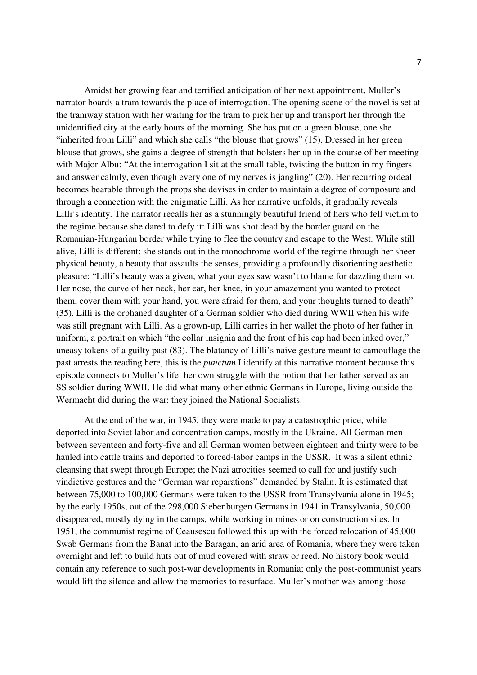Amidst her growing fear and terrified anticipation of her next appointment, Muller's narrator boards a tram towards the place of interrogation. The opening scene of the novel is set at the tramway station with her waiting for the tram to pick her up and transport her through the unidentified city at the early hours of the morning. She has put on a green blouse, one she "inherited from Lilli" and which she calls "the blouse that grows" (15). Dressed in her green blouse that grows, she gains a degree of strength that bolsters her up in the course of her meeting with Major Albu: "At the interrogation I sit at the small table, twisting the button in my fingers and answer calmly, even though every one of my nerves is jangling" (20). Her recurring ordeal becomes bearable through the props she devises in order to maintain a degree of composure and through a connection with the enigmatic Lilli. As her narrative unfolds, it gradually reveals Lilli's identity. The narrator recalls her as a stunningly beautiful friend of hers who fell victim to the regime because she dared to defy it: Lilli was shot dead by the border guard on the Romanian-Hungarian border while trying to flee the country and escape to the West. While still alive, Lilli is different: she stands out in the monochrome world of the regime through her sheer physical beauty, a beauty that assaults the senses, providing a profoundly disorienting aesthetic pleasure: "Lilli's beauty was a given, what your eyes saw wasn't to blame for dazzling them so. Her nose, the curve of her neck, her ear, her knee, in your amazement you wanted to protect them, cover them with your hand, you were afraid for them, and your thoughts turned to death" (35). Lilli is the orphaned daughter of a German soldier who died during WWII when his wife was still pregnant with Lilli. As a grown-up, Lilli carries in her wallet the photo of her father in uniform, a portrait on which "the collar insignia and the front of his cap had been inked over," uneasy tokens of a guilty past (83). The blatancy of Lilli's naive gesture meant to camouflage the past arrests the reading here, this is the *punctum* I identify at this narrative moment because this episode connects to Muller's life: her own struggle with the notion that her father served as an SS soldier during WWII. He did what many other ethnic Germans in Europe, living outside the Wermacht did during the war: they joined the National Socialists.

At the end of the war, in 1945, they were made to pay a catastrophic price, while deported into Soviet labor and concentration camps, mostly in the Ukraine. All German men between seventeen and forty-five and all German women between eighteen and thirty were to be hauled into cattle trains and deported to forced-labor camps in the USSR. It was a silent ethnic cleansing that swept through Europe; the Nazi atrocities seemed to call for and justify such vindictive gestures and the "German war reparations" demanded by Stalin. It is estimated that between 75,000 to 100,000 Germans were taken to the USSR from Transylvania alone in 1945; by the early 1950s, out of the 298,000 Siebenburgen Germans in 1941 in Transylvania, 50,000 disappeared, mostly dying in the camps, while working in mines or on construction sites. In 1951, the communist regime of Ceausescu followed this up with the forced relocation of 45,000 Swab Germans from the Banat into the Baragan, an arid area of Romania, where they were taken overnight and left to build huts out of mud covered with straw or reed. No history book would contain any reference to such post-war developments in Romania; only the post-communist years would lift the silence and allow the memories to resurface. Muller's mother was among those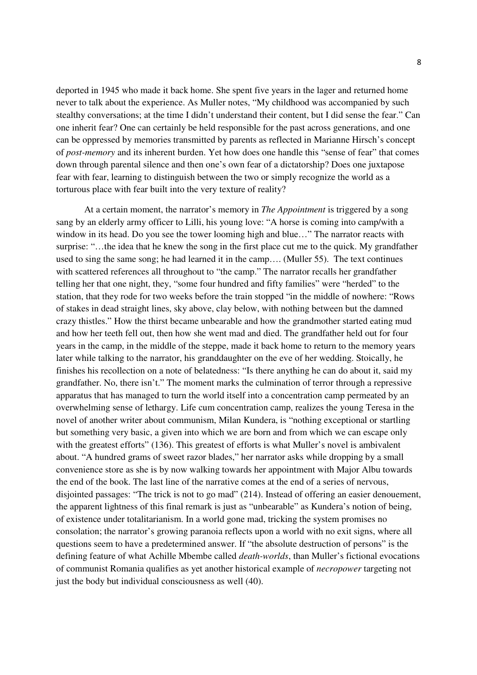deported in 1945 who made it back home. She spent five years in the lager and returned home never to talk about the experience. As Muller notes, "My childhood was accompanied by such stealthy conversations; at the time I didn't understand their content, but I did sense the fear." Can one inherit fear? One can certainly be held responsible for the past across generations, and one can be oppressed by memories transmitted by parents as reflected in Marianne Hirsch's concept of *post-memory* and its inherent burden. Yet how does one handle this "sense of fear" that comes down through parental silence and then one's own fear of a dictatorship? Does one juxtapose fear with fear, learning to distinguish between the two or simply recognize the world as a torturous place with fear built into the very texture of reality?

At a certain moment, the narrator's memory in *The Appointment* is triggered by a song sang by an elderly army officer to Lilli, his young love: "A horse is coming into camp/with a window in its head. Do you see the tower looming high and blue…" The narrator reacts with surprise: "…the idea that he knew the song in the first place cut me to the quick. My grandfather used to sing the same song; he had learned it in the camp…. (Muller 55). The text continues with scattered references all throughout to "the camp." The narrator recalls her grandfather telling her that one night, they, "some four hundred and fifty families" were "herded" to the station, that they rode for two weeks before the train stopped "in the middle of nowhere: "Rows of stakes in dead straight lines, sky above, clay below, with nothing between but the damned crazy thistles." How the thirst became unbearable and how the grandmother started eating mud and how her teeth fell out, then how she went mad and died. The grandfather held out for four years in the camp, in the middle of the steppe, made it back home to return to the memory years later while talking to the narrator, his granddaughter on the eve of her wedding. Stoically, he finishes his recollection on a note of belatedness: "Is there anything he can do about it, said my grandfather. No, there isn't." The moment marks the culmination of terror through a repressive apparatus that has managed to turn the world itself into a concentration camp permeated by an overwhelming sense of lethargy. Life cum concentration camp, realizes the young Teresa in the novel of another writer about communism, Milan Kundera, is "nothing exceptional or startling but something very basic, a given into which we are born and from which we can escape only with the greatest efforts" (136). This greatest of efforts is what Muller's novel is ambivalent about. "A hundred grams of sweet razor blades," her narrator asks while dropping by a small convenience store as she is by now walking towards her appointment with Major Albu towards the end of the book. The last line of the narrative comes at the end of a series of nervous, disjointed passages: "The trick is not to go mad" (214). Instead of offering an easier denouement, the apparent lightness of this final remark is just as "unbearable" as Kundera's notion of being, of existence under totalitarianism. In a world gone mad, tricking the system promises no consolation; the narrator's growing paranoia reflects upon a world with no exit signs, where all questions seem to have a predetermined answer. If "the absolute destruction of persons" is the defining feature of what Achille Mbembe called *death-worlds*, than Muller's fictional evocations of communist Romania qualifies as yet another historical example of *necropower* targeting not just the body but individual consciousness as well (40).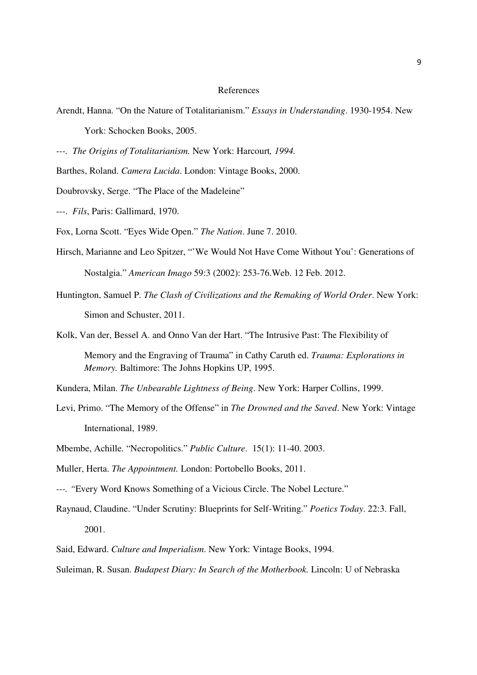## References

- Arendt, Hanna. "On the Nature of Totalitarianism." *Essays in Understanding*. 1930-1954. New York: Schocken Books, 2005.
- *---. The Origins of Totalitarianism.* New York: Harcourt*, 1994.*
- Barthes, Roland. *Camera Lucida*. London: Vintage Books, 2000.
- Doubrovsky, Serge. "The Place of the Madeleine"
- ---. *Fils*, Paris: Gallimard, 1970.
- Fox, Lorna Scott. "Eyes Wide Open." *The Nation*. June 7. 2010.
- Hirsch, Marianne and Leo Spitzer, "'We Would Not Have Come Without You': Generations of Nostalgia." *American Imago* 59:3 (2002): 253-76.Web. 12 Feb. 2012.
- Huntington, Samuel P. *The Clash of Civilizations and the Remaking of World Order*. New York: Simon and Schuster, 2011.
- Kolk, Van der, Bessel A. and Onno Van der Hart. "The Intrusive Past: The Flexibility of
	- Memory and the Engraving of Trauma" in Cathy Caruth ed. *Trauma: Explorations in Memory.* Baltimore: The Johns Hopkins UP, 1995.
- Kundera, Milan. *The Unbearable Lightness of Being*. New York: Harper Collins, 1999.
- Levi, Primo. "The Memory of the Offense" in *The Drowned and the Saved*. New York: Vintage International, 1989.
- Mbembe, Achille. "Necropolitics." *Public Culture*. 15(1): 11-40. 2003.
- Muller, Herta. *The Appointment.* London: Portobello Books, 2011.
- *---. "*Every Word Knows Something of a Vicious Circle. The Nobel Lecture."
- Raynaud, Claudine. "Under Scrutiny: Blueprints for Self-Writing." *Poetics Today*. 22:3. Fall, 2001.
- Said, Edward. *Culture and Imperialism*. New York: Vintage Books, 1994.
- Suleiman, R. Susan. *Budapest Diary: In Search of the Motherbook.* Lincoln: U of Nebraska